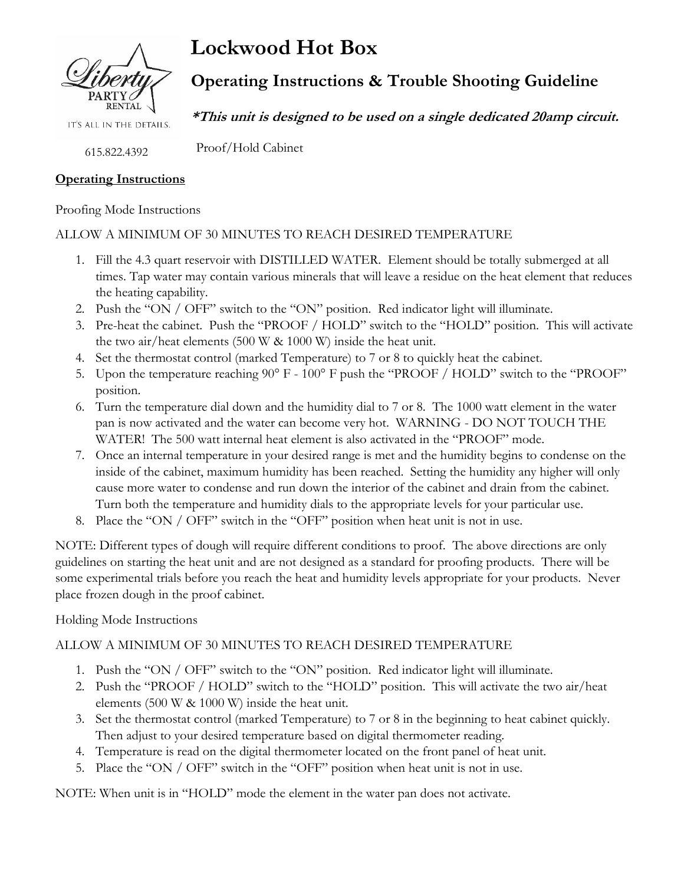

IT'S ALL IN THE DETAILS.

615.822.4392

## **Operating Instructions**

Proofing Mode Instructions

#### ALLOW A MINIMUM OF 30 MINUTES TO REACH DESIRED TEMPERATURE

- 1. Fill the 4.3 quart reservoir with DISTILLED WATER. Element should be totally submerged at all times. Tap water may contain various minerals that will leave a residue on the heat element that reduces the heating capability.
- 2. Push the "ON / OFF" switch to the "ON" position. Red indicator light will illuminate.
- 3. Pre-heat the cabinet. Push the "PROOF / HOLD" switch to the "HOLD" position. This will activate the two air/heat elements (500 W & 1000 W) inside the heat unit.
- 4. Set the thermostat control (marked Temperature) to 7 or 8 to quickly heat the cabinet.
- 5. Upon the temperature reaching 90° F 100° F push the "PROOF / HOLD" switch to the "PROOF" position.
- 6. Turn the temperature dial down and the humidity dial to 7 or 8. The 1000 watt element in the water pan is now activated and the water can become very hot. WARNING - DO NOT TOUCH THE WATER! The 500 watt internal heat element is also activated in the "PROOF" mode.
- 7. Once an internal temperature in your desired range is met and the humidity begins to condense on the inside of the cabinet, maximum humidity has been reached. Setting the humidity any higher will only cause more water to condense and run down the interior of the cabinet and drain from the cabinet. Turn both the temperature and humidity dials to the appropriate levels for your particular use.
- 8. Place the "ON / OFF" switch in the "OFF" position when heat unit is not in use.

NOTE: Different types of dough will require different conditions to proof. The above directions are only guidelines on starting the heat unit and are not designed as a standard for proofing products. There will be some experimental trials before you reach the heat and humidity levels appropriate for your products. Never place frozen dough in the proof cabinet.

### Holding Mode Instructions

### ALLOW A MINIMUM OF 30 MINUTES TO REACH DESIRED TEMPERATURE

- 1. Push the "ON / OFF" switch to the "ON" position. Red indicator light will illuminate.
- 2. Push the "PROOF / HOLD" switch to the "HOLD" position. This will activate the two air/heat elements (500 W & 1000 W) inside the heat unit.
- 3. Set the thermostat control (marked Temperature) to 7 or 8 in the beginning to heat cabinet quickly. Then adjust to your desired temperature based on digital thermometer reading.
- 4. Temperature is read on the digital thermometer located on the front panel of heat unit.
- 5. Place the "ON / OFF" switch in the "OFF" position when heat unit is not in use.

NOTE: When unit is in "HOLD" mode the element in the water pan does not activate.

**Lockwood Hot Box**

# **Operating Instructions & Trouble Shooting Guideline**

**\*This unit is designed to be used on a single dedicated 20amp circuit.**

Proof/Hold Cabinet